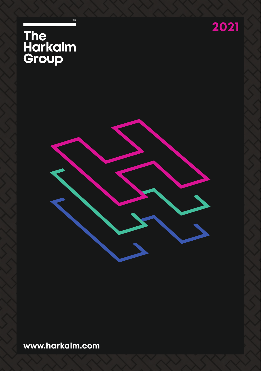





**www.harkalm.com**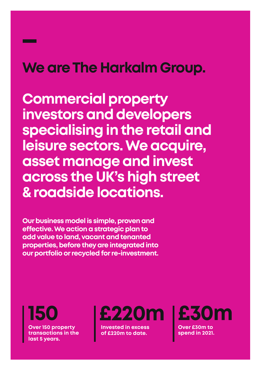# **We are The Harkalm Group.**

**Commercial property investors and developers specialising in the retail and leisure sectors. We acquire, asset manage and invest across the UK's high street & roadside locations.**

**Our business model is simple, proven and effective. We action a strategic plan to add value to land, vacant and tenanted properties, before they are integrated into our portfolio or recycled for re-investment.**

**150 Over 150 property transactions in the last 5 years.**



**Invested in excess of £220m to date.**

**£30m Over £30m to** 

**spend in 2021.**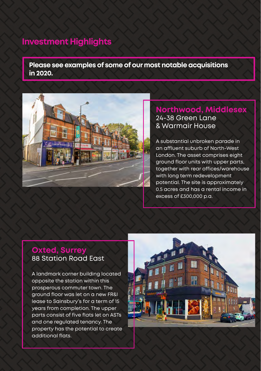# **Investment Highlights**

**Please see examples of some of our most notable acquisitions in 2020.** 



## **Northwood, Middlesex** 24-38 Green Lane & Warmair House

A substantial unbroken parade in an affluent suburb of North-West London. The asset comprises eight ground floor units with upper parts, together with rear offices/warehouse with long term redevelopment potential. The site is approximately 0.5 acres and has a rental income in excess of £300,000 p.a.

# **Oxted, Surrey** 88 Station Road East

A landmark corner building located opposite the station within this prosperous commuter town. The ground floor was let on a new FR&I lease to Sainsbury's for a term of 15 years from completion. The upper parts consist of five flats let on ASTs and one regulated tenancy. The property has the potential to create additional flats.

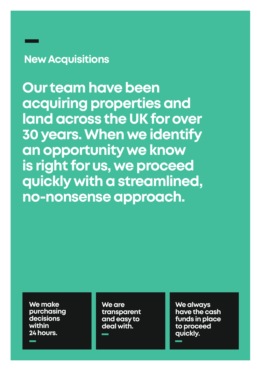# **New Acquisitions**

**Our team have been acquiring properties and land across the UK for over 30 years. When we identify an opportunity we know is right for us, we proceed quickly with a streamlined, no-nonsense approach.**

**We make purchasing decisions within 24 hours.** 

**We are transparent and easy to deal with.**

**We always have the cash funds in place to proceed quickly.**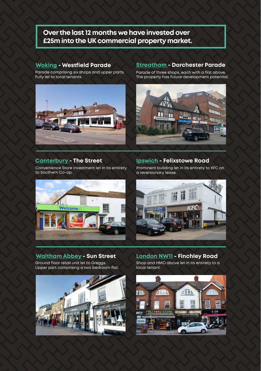## **Over the last 12 months we have invested over £25m into the UK commercial property market.**

### **Woking - Westfield Parade**

Parade comprising six shops and upper parts. Fully let to local tenants.



### **Canterbury - The Street**

Convenience Store investment let in its entirety to Southern Co-op.

### **Streatham - Dorchester Parade**

Parade of three shops, each with a flat above. The property has future development potential.



### **Ipswich - Felixstowe Road**

Prominent building let in its entirety to KFC on a reversionary lease.





Ground floor retail unit let to Greggs. Upper part comprising a two bedroom flat.



**Waltham Abbey - Sun Street London NW11 - Finchley Road** Shop and HMO above let in its entirety to a

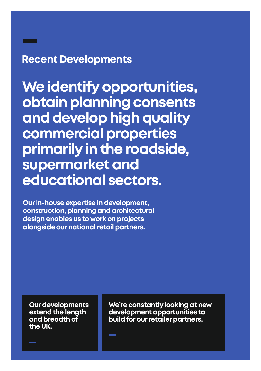# **Recent Developments**

**We identify opportunities, obtain planning consents and develop high quality commercial properties primarily in the roadside, supermarket and educational sectors.** 

**Our in-house expertise in development, construction, planning and architectural design enables us to work on projects alongside our national retail partners.** 

**Our developments extend the length and breadth of the UK.** 

**We're constantly looking at new development opportunities to build for our retailer partners.**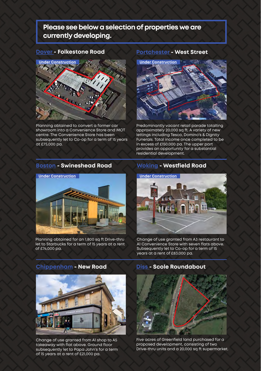## **Please see below a selection of properties we are currently developing.**



Planning obtained to convert a former car showroom into a Convenience Store and MOT centre. The Convenience Store has been subsequently let to Co-op for a term of 15 years at £75,000 pa.

## **Dover - Folkestone Road Portchester - West Street**



Predominantly vacant retail parade totalling approximately 20,000 sq ft. A variety of new lettings including Tesco, Domino's & Dignity Funerals. Total income once completed to be in excess of £150,000 pa. The upper part provides an opportunity for a substantial residential development.

### **Boston - Swineshead Road Woking - Westfield Road**



Planning obtained for an 1,800 sq ft Drive-thru let to Starbucks for a term of 15 years at a rent of £74,000 pa.



Change of use granted from A3 restaurant to A1 Convenience Store with seven flats above. Subsequently let to Co-op for a term of 15 years at a rent of £83,000 pa.

**Chippenham - New Road Diss - Scole Roundabout** 



Change of use granted from A1 shop to A5 takeaway with flat above. Ground floor subsequently let to Papa John's for a term of 15 years at a rent of £21,000 pa.



Five acres of Greenfield land purchased for a proposed development, consisting of two Drive-thru units and a 20,000 sq ft supermarket.